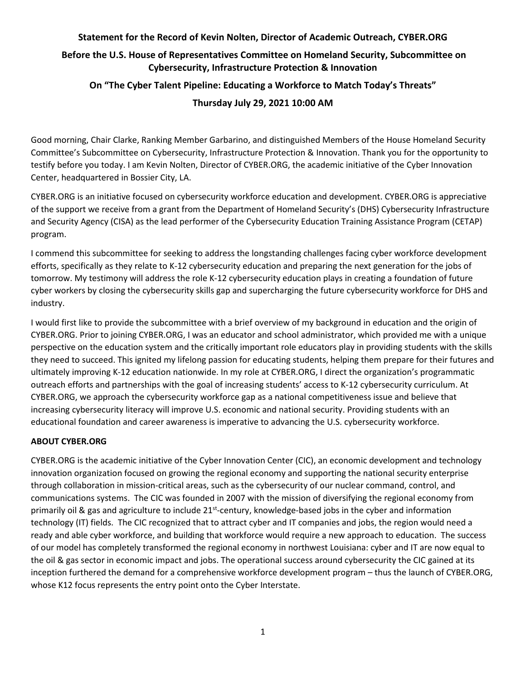## **Statement for the Record of Kevin Nolten, Director of Academic Outreach, CYBER.ORG**

## **Before the U.S. House of Representatives Committee on Homeland Security, Subcommittee on Cybersecurity, Infrastructure Protection & Innovation**

# **On "The Cyber Talent Pipeline: Educating a Workforce to Match Today's Threats"**

## **Thursday July 29, 2021 10:00 AM**

Good morning, Chair Clarke, Ranking Member Garbarino, and distinguished Members of the House Homeland Security Committee's Subcommittee on Cybersecurity, Infrastructure Protection & Innovation. Thank you for the opportunity to testify before you today. I am Kevin Nolten, Director of CYBER.ORG, the academic initiative of the Cyber Innovation Center, headquartered in Bossier City, LA.

CYBER.ORG is an initiative focused on cybersecurity workforce education and development. CYBER.ORG is appreciative of the support we receive from a grant from the Department of Homeland Security's (DHS) Cybersecurity Infrastructure and Security Agency (CISA) as the lead performer of the Cybersecurity Education Training Assistance Program (CETAP) program.

I commend this subcommittee for seeking to address the longstanding challenges facing cyber workforce development efforts, specifically as they relate to K-12 cybersecurity education and preparing the next generation for the jobs of tomorrow. My testimony will address the role K-12 cybersecurity education plays in creating a foundation of future cyber workers by closing the cybersecurity skills gap and supercharging the future cybersecurity workforce for DHS and industry.

I would first like to provide the subcommittee with a brief overview of my background in education and the origin of CYBER.ORG. Prior to joining CYBER.ORG, I was an educator and school administrator, which provided me with a unique perspective on the education system and the critically important role educators play in providing students with the skills they need to succeed. This ignited my lifelong passion for educating students, helping them prepare for their futures and ultimately improving K-12 education nationwide. In my role at CYBER.ORG, I direct the organization's programmatic outreach efforts and partnerships with the goal of increasing students' access to K-12 cybersecurity curriculum. At CYBER.ORG, we approach the cybersecurity workforce gap as a national competitiveness issue and believe that increasing cybersecurity literacy will improve U.S. economic and national security. Providing students with an educational foundation and career awareness is imperative to advancing the U.S. cybersecurity workforce.

### **ABOUT CYBER.ORG**

CYBER.ORG is the academic initiative of the Cyber Innovation Center (CIC), an economic development and technology innovation organization focused on growing the regional economy and supporting the national security enterprise through collaboration in mission-critical areas, such as the cybersecurity of our nuclear command, control, and communications systems. The CIC was founded in 2007 with the mission of diversifying the regional economy from primarily oil & gas and agriculture to include 21<sup>st</sup>-century, knowledge-based jobs in the cyber and information technology (IT) fields. The CIC recognized that to attract cyber and IT companies and jobs, the region would need a ready and able cyber workforce, and building that workforce would require a new approach to education. The success of our model has completely transformed the regional economy in northwest Louisiana: cyber and IT are now equal to the oil & gas sector in economic impact and jobs. The operational success around cybersecurity the CIC gained at its inception furthered the demand for a comprehensive workforce development program – thus the launch of CYBER.ORG, whose K12 focus represents the entry point onto the Cyber Interstate.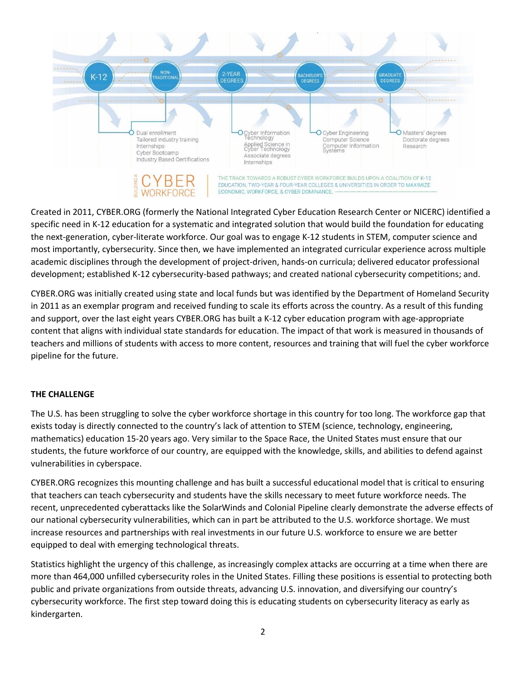

Created in 2011, CYBER.ORG (formerly the National Integrated Cyber Education Research Center or NICERC) identified a specific need in K-12 education for a systematic and integrated solution that would build the foundation for educating the next-generation, cyber-literate workforce. Our goal was to engage K-12 students in STEM, computer science and most importantly, cybersecurity. Since then, we have implemented an integrated curricular experience across multiple academic disciplines through the development of project-driven, hands-on curricula; delivered educator professional development; established K-12 cybersecurity-based pathways; and created national cybersecurity competitions; and.

CYBER.ORG was initially created using state and local funds but was identified by the Department of Homeland Security in 2011 as an exemplar program and received funding to scale its efforts across the country. As a result of this funding and support, over the last eight years CYBER.ORG has built a K-12 cyber education program with age-appropriate content that aligns with individual state standards for education. The impact of that work is measured in thousands of teachers and millions of students with access to more content, resources and training that will fuel the cyber workforce pipeline for the future.

### **THE CHALLENGE**

The U.S. has been struggling to solve the cyber workforce shortage in this country for too long. The workforce gap that exists today is directly connected to the country's lack of attention to STEM (science, technology, engineering, mathematics) education 15-20 years ago. Very similar to the Space Race, the United States must ensure that our students, the future workforce of our country, are equipped with the knowledge, skills, and abilities to defend against vulnerabilities in cyberspace.

CYBER.ORG recognizes this mounting challenge and has built a successful educational model that is critical to ensuring that teachers can teach cybersecurity and students have the skills necessary to meet future workforce needs. The recent, unprecedented cyberattacks like the SolarWinds and Colonial Pipeline clearly demonstrate the adverse effects of our national cybersecurity vulnerabilities, which can in part be attributed to the U.S. workforce shortage. We must increase resources and partnerships with real investments in our future U.S. workforce to ensure we are better equipped to deal with emerging technological threats.

Statistics highlight the urgency of this challenge, as increasingly complex attacks are occurring at a time when there are more than 464,000 unfilled cybersecurity roles in the United States. Filling these positions is essential to protecting both public and private organizations from outside threats, advancing U.S. innovation, and diversifying our country's cybersecurity workforce. The first step toward doing this is educating students on cybersecurity literacy as early as kindergarten.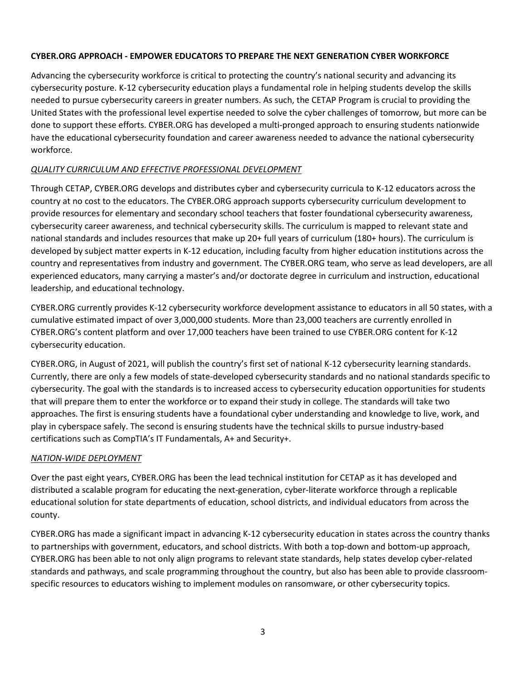#### **CYBER.ORG APPROACH - EMPOWER EDUCATORS TO PREPARE THE NEXT GENERATION CYBER WORKFORCE**

Advancing the cybersecurity workforce is critical to protecting the country's national security and advancing its cybersecurity posture. K-12 cybersecurity education plays a fundamental role in helping students develop the skills needed to pursue cybersecurity careers in greater numbers. As such, the CETAP Program is crucial to providing the United States with the professional level expertise needed to solve the cyber challenges of tomorrow, but more can be done to support these efforts. CYBER.ORG has developed a multi-pronged approach to ensuring students nationwide have the educational cybersecurity foundation and career awareness needed to advance the national cybersecurity workforce.

#### *QUALITY CURRICULUM AND EFFECTIVE PROFESSIONAL DEVELOPMENT*

Through CETAP, CYBER.ORG develops and distributes cyber and cybersecurity curricula to K-12 educators across the country at no cost to the educators. The CYBER.ORG approach supports cybersecurity curriculum development to provide resources for elementary and secondary school teachers that foster foundational cybersecurity awareness, cybersecurity career awareness, and technical cybersecurity skills. The curriculum is mapped to relevant state and national standards and includes resources that make up 20+ full years of curriculum (180+ hours). The curriculum is developed by subject matter experts in K-12 education, including faculty from higher education institutions across the country and representatives from industry and government. The CYBER.ORG team, who serve as lead developers, are all experienced educators, many carrying a master's and/or doctorate degree in curriculum and instruction, educational leadership, and educational technology.

CYBER.ORG currently provides K-12 cybersecurity workforce development assistance to educators in all 50 states, with a cumulative estimated impact of over 3,000,000 students. More than 23,000 teachers are currently enrolled in CYBER.ORG's content platform and over 17,000 teachers have been trained to use CYBER.ORG content for K-12 cybersecurity education.

CYBER.ORG, in August of 2021, will publish the country's first set of national K-12 cybersecurity learning standards. Currently, there are only a few models of state-developed cybersecurity standards and no national standards specific to cybersecurity. The goal with the standards is to increased access to cybersecurity education opportunities for students that will prepare them to enter the workforce or to expand their study in college. The standards will take two approaches. The first is ensuring students have a foundational cyber understanding and knowledge to live, work, and play in cyberspace safely. The second is ensuring students have the technical skills to pursue industry-based certifications such as CompTIA's IT Fundamentals, A+ and Security+.

#### *NATION-WIDE DEPLOYMENT*

Over the past eight years, CYBER.ORG has been the lead technical institution for CETAP as it has developed and distributed a scalable program for educating the next-generation, cyber-literate workforce through a replicable educational solution for state departments of education, school districts, and individual educators from across the county.

CYBER.ORG has made a significant impact in advancing K-12 cybersecurity education in states across the country thanks to partnerships with government, educators, and school districts. With both a top-down and bottom-up approach, CYBER.ORG has been able to not only align programs to relevant state standards, help states develop cyber-related standards and pathways, and scale programming throughout the country, but also has been able to provide classroomspecific resources to educators wishing to implement modules on ransomware, or other cybersecurity topics.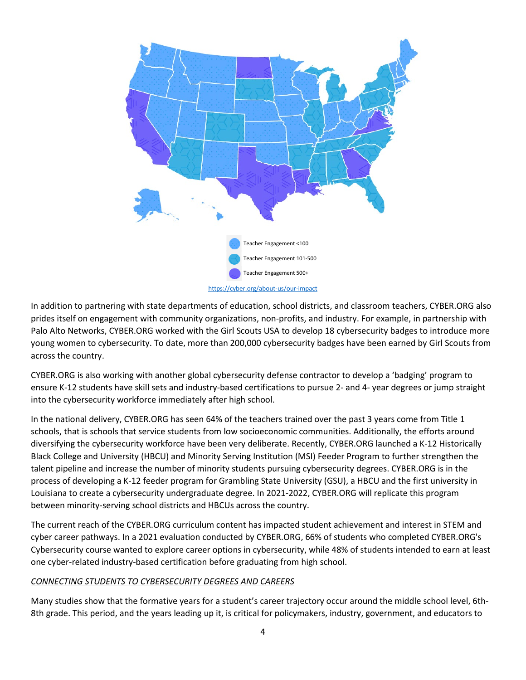

In addition to partnering with state departments of education, school districts, and classroom teachers, CYBER.ORG also prides itself on engagement with community organizations, non-profits, and industry. For example, in partnership with Palo Alto Networks, CYBER.ORG worked with the Girl Scouts USA to develop 18 cybersecurity badges to introduce more young women to cybersecurity. To date, more than 200,000 cybersecurity badges have been earned by Girl Scouts from across the country.

CYBER.ORG is also working with another global cybersecurity defense contractor to develop a 'badging' program to ensure K-12 students have skill sets and industry-based certifications to pursue 2- and 4- year degrees or jump straight into the cybersecurity workforce immediately after high school.

In the national delivery, CYBER.ORG has seen 64% of the teachers trained over the past 3 years come from Title 1 schools, that is schools that service students from low socioeconomic communities. Additionally, the efforts around diversifying the cybersecurity workforce have been very deliberate. Recently, CYBER.ORG launched a K-12 Historically Black College and University (HBCU) and Minority Serving Institution (MSI) Feeder Program to further strengthen the talent pipeline and increase the number of minority students pursuing cybersecurity degrees. CYBER.ORG is in the process of developing a K-12 feeder program for Grambling State University (GSU), a HBCU and the first university in Louisiana to create a cybersecurity undergraduate degree. In 2021-2022, CYBER.ORG will replicate this program between minority-serving school districts and HBCUs across the country.

The current reach of the CYBER.ORG curriculum content has impacted student achievement and interest in STEM and cyber career pathways. In a 2021 evaluation conducted by CYBER.ORG, 66% of students who completed CYBER.ORG's Cybersecurity course wanted to explore career options in cybersecurity, while 48% of students intended to earn at least one cyber-related industry-based certification before graduating from high school.

#### *CONNECTING STUDENTS TO CYBERSECURITY DEGREES AND CAREERS*

Many studies show that the formative years for a student's career trajectory occur around the middle school level, 6th-8th grade. This period, and the years leading up it, is critical for policymakers, industry, government, and educators to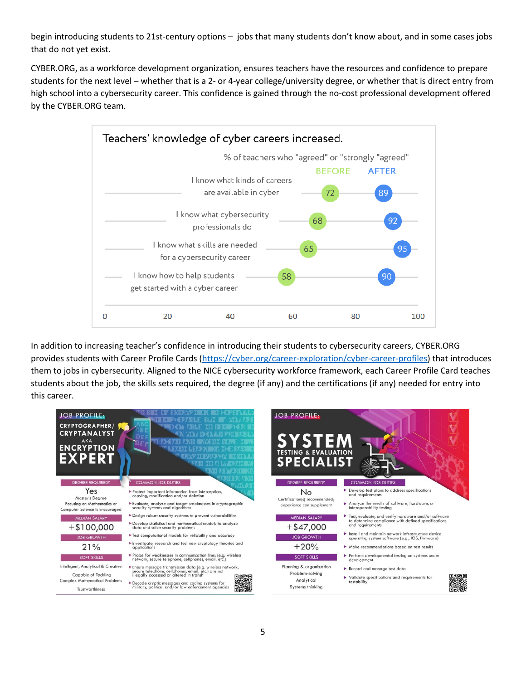begin introducing students to 21st-century options – jobs that many students don't know about, and in some cases jobs that do not yet exist.

CYBER.ORG, as a workforce development organization, ensures teachers have the resources and confidence to prepare students for the next level – whether that is a 2- or 4-year college/university degree, or whether that is direct entry from high school into a cybersecurity career. This confidence is gained through the no-cost professional development offered by the CYBER.ORG team.



In addition to increasing teacher's confidence in introducing their students to cybersecurity careers, CYBER.ORG provides students with Career Profile Cards [\(https://cyber.org/career-exploration/cyber-career-profiles\)](https://cyber.org/career-exploration/cyber-career-profiles) that introduces them to jobs in cybersecurity. Aligned to the NICE cybersecurity workforce framework, each Career Profile Card teaches students about the job, the skills sets required, the degree (if any) and the certifications (if any) needed for entry into this career.

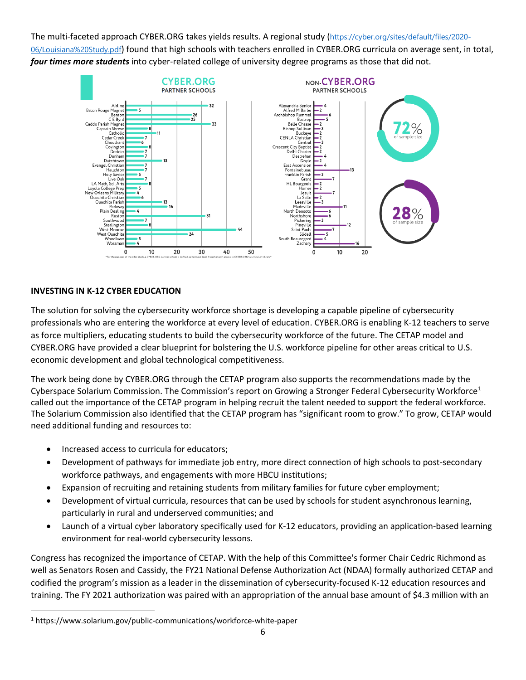The multi-faceted approach CYBER.ORG takes yields results. A regional study ([https://cyber.org/sites/default/files/2020-](https://cyber.org/sites/default/files/2020-06/Louisiana%20Study.pdf) [06/Louisiana%20Study.pdf](https://cyber.org/sites/default/files/2020-06/Louisiana%20Study.pdf)) found that high schools with teachers enrolled in CYBER.ORG curricula on average sent, in total, *four times more students* into cyber-related college of university degree programs as those that did not.



#### **INVESTING IN K-12 CYBER EDUCATION**

The solution for solving the cybersecurity workforce shortage is developing a capable pipeline of cybersecurity professionals who are entering the workforce at every level of education. CYBER.ORG is enabling K-12 teachers to serve as force multipliers, educating students to build the cybersecurity workforce of the future. The CETAP model and CYBER.ORG have provided a clear blueprint for bolstering the U.S. workforce pipeline for other areas critical to U.S. economic development and global technological competitiveness.

The work being done by CYBER.ORG through the CETAP program also supports the recommendations made by the Cyberspace Solarium Commission. The Commission's report on Growing a Stronger Federal Cybersecurity Workforce<sup>[1](#page-5-0)</sup> called out the importance of the CETAP program in helping recruit the talent needed to support the federal workforce. The Solarium Commission also identified that the CETAP program has "significant room to grow." To grow, CETAP would need additional funding and resources to:

- Increased access to curricula for educators;
- Development of pathways for immediate job entry, more direct connection of high schools to post-secondary workforce pathways, and engagements with more HBCU institutions;
- Expansion of recruiting and retaining students from military families for future cyber employment;
- Development of virtual curricula, resources that can be used by schools for student asynchronous learning, particularly in rural and underserved communities; and
- Launch of a virtual cyber laboratory specifically used for K-12 educators, providing an application-based learning environment for real-world cybersecurity lessons.

Congress has recognized the importance of CETAP. With the help of this Committee's former Chair Cedric Richmond as well as Senators Rosen and Cassidy, the FY21 National Defense Authorization Act (NDAA) formally authorized CETAP and codified the program's mission as a leader in the dissemination of cybersecurity-focused K-12 education resources and training. The FY 2021 authorization was paired with an appropriation of the annual base amount of \$4.3 million with an

<span id="page-5-0"></span><sup>1</sup> https://www.solarium.gov/public-communications/workforce-white-paper